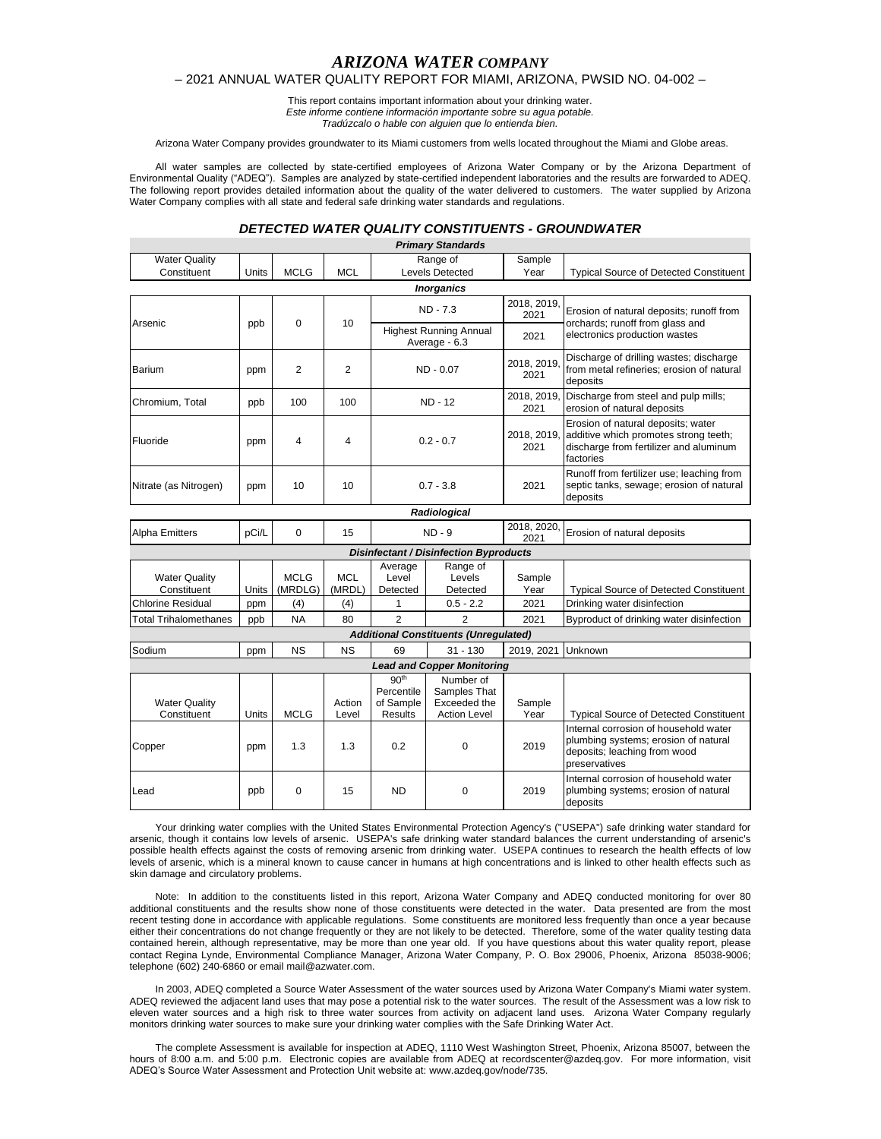# *ARIZONA WATER COMPANY*

### – 2021 ANNUAL WATER QUALITY REPORT FOR MIAMI, ARIZONA, PWSID NO. 04-002 –

This report contains important information about your drinking water. *Este informe contiene información importante sobre su agua potable. Tradúzcalo o hable con alguien que lo entienda bien.*

Arizona Water Company provides groundwater to its Miami customers from wells located throughout the Miami and Globe areas.

All water samples are collected by state-certified employees of Arizona Water Company or by the Arizona Department of Environmental Quality ("ADEQ"). Samples are analyzed by state-certified independent laboratories and the results are forwarded to ADEQ. The following report provides detailed information about the quality of the water delivered to customers. The water supplied by Arizona Water Company complies with all state and federal safe drinking water standards and regulations.

## *DETECTED WATER QUALITY CONSTITUENTS - GROUNDWATER*

|                                               |       |                        |                      |                                                        | <b>Primary Standards</b>                                         |                     |                                                                                                                                    |  |  |
|-----------------------------------------------|-------|------------------------|----------------------|--------------------------------------------------------|------------------------------------------------------------------|---------------------|------------------------------------------------------------------------------------------------------------------------------------|--|--|
| <b>Water Quality</b>                          |       |                        |                      | Range of                                               |                                                                  | Sample              |                                                                                                                                    |  |  |
| Constituent                                   | Units | <b>MCLG</b>            | <b>MCL</b>           |                                                        | <b>Levels Detected</b>                                           | Year                | <b>Typical Source of Detected Constituent</b>                                                                                      |  |  |
|                                               |       |                        |                      |                                                        | <b>Inorganics</b>                                                |                     |                                                                                                                                    |  |  |
| Arsenic                                       | ppb   | $\Omega$               | 10                   | $ND - 7.3$                                             |                                                                  | 2018, 2019,<br>2021 | Erosion of natural deposits; runoff from<br>orchards; runoff from glass and<br>electronics production wastes                       |  |  |
|                                               |       |                        |                      | <b>Highest Running Annual</b><br>Average - 6.3         |                                                                  | 2021                |                                                                                                                                    |  |  |
| Barium                                        | ppm   | $\overline{2}$         | 2                    | $ND - 0.07$                                            |                                                                  | 2018, 2019,<br>2021 | Discharge of drilling wastes; discharge<br>from metal refineries; erosion of natural<br>deposits                                   |  |  |
| Chromium, Total                               | ppb   | 100                    | 100                  | <b>ND - 12</b>                                         |                                                                  | 2018, 2019,<br>2021 | Discharge from steel and pulp mills;<br>erosion of natural deposits                                                                |  |  |
| Fluoride                                      | ppm   | 4                      | 4                    | $0.2 - 0.7$                                            |                                                                  | 2018, 2019,<br>2021 | Erosion of natural deposits; water<br>additive which promotes strong teeth;<br>discharge from fertilizer and aluminum<br>factories |  |  |
| Nitrate (as Nitrogen)                         | ppm   | 10                     | 10                   | $0.7 - 3.8$                                            |                                                                  | 2021                | Runoff from fertilizer use; leaching from<br>septic tanks, sewage; erosion of natural<br>deposits                                  |  |  |
|                                               |       |                        |                      |                                                        | Radiological                                                     |                     |                                                                                                                                    |  |  |
| Alpha Emitters                                | pCi/L | 0                      | 15                   | $ND - 9$                                               |                                                                  | 2018, 2020,<br>2021 | Erosion of natural deposits                                                                                                        |  |  |
| <b>Disinfectant / Disinfection Byproducts</b> |       |                        |                      |                                                        |                                                                  |                     |                                                                                                                                    |  |  |
| <b>Water Quality</b><br>Constituent           | Units | <b>MCLG</b><br>(MRDLG) | <b>MCL</b><br>(MRDL) | Average<br>Level<br>Detected                           | Range of<br>Levels<br>Detected                                   | Sample<br>Year      | <b>Typical Source of Detected Constituent</b>                                                                                      |  |  |
| <b>Chlorine Residual</b>                      | ppm   | (4)                    | (4)                  | 1                                                      | $0.5 - 2.2$                                                      | 2021                | Drinking water disinfection                                                                                                        |  |  |
| <b>Total Trihalomethanes</b>                  | ppb   | <b>NA</b>              | 80                   | $\overline{2}$                                         | $\overline{2}$                                                   | 2021                | Byproduct of drinking water disinfection                                                                                           |  |  |
|                                               |       |                        |                      |                                                        | <b>Additional Constituents (Unregulated)</b>                     |                     |                                                                                                                                    |  |  |
| Sodium                                        | ppm   | <b>NS</b>              | <b>NS</b>            | 69                                                     | $31 - 130$                                                       | 2019.2021           | Unknown                                                                                                                            |  |  |
|                                               |       |                        |                      |                                                        | <b>Lead and Copper Monitoring</b>                                |                     |                                                                                                                                    |  |  |
| <b>Water Quality</b><br>Constituent           | Units | <b>MCLG</b>            | Action<br>Level      | 90 <sup>th</sup><br>Percentile<br>of Sample<br>Results | Number of<br>Samples That<br>Exceeded the<br><b>Action Level</b> | Sample<br>Year      | <b>Typical Source of Detected Constituent</b>                                                                                      |  |  |
| Copper                                        | ppm   | 1.3                    | 1.3                  | 0.2                                                    | $\mathbf 0$                                                      | 2019                | Internal corrosion of household water<br>plumbing systems; erosion of natural<br>deposits; leaching from wood<br>preservatives     |  |  |
| Lead                                          | ppb   | 0                      | 15                   | <b>ND</b>                                              | 0                                                                | 2019                | Internal corrosion of household water<br>plumbing systems; erosion of natural<br>deposits                                          |  |  |

Your drinking water complies with the United States Environmental Protection Agency's ("USEPA") safe drinking water standard for arsenic, though it contains low levels of arsenic. USEPA's safe drinking water standard balances the current understanding of arsenic's possible health effects against the costs of removing arsenic from drinking water. USEPA continues to research the health effects of low levels of arsenic, which is a mineral known to cause cancer in humans at high concentrations and is linked to other health effects such as skin damage and circulatory problems.

Note: In addition to the constituents listed in this report, Arizona Water Company and ADEQ conducted monitoring for over 80 additional constituents and the results show none of those constituents were detected in the water. Data presented are from the most recent testing done in accordance with applicable regulations. Some constituents are monitored less frequently than once a year because either their concentrations do not change frequently or they are not likely to be detected. Therefore, some of the water quality testing data contained herein, although representative, may be more than one year old. If you have questions about this water quality report, please contact Regina Lynde, Environmental Compliance Manager, Arizona Water Company, P. O. Box 29006, Phoenix, Arizona 85038-9006; telephone (602) 240-6860 or email mail@azwater.com.

In 2003, ADEQ completed a Source Water Assessment of the water sources used by Arizona Water Company's Miami water system. ADEQ reviewed the adjacent land uses that may pose a potential risk to the water sources. The result of the Assessment was a low risk to eleven water sources and a high risk to three water sources from activity on adjacent land uses. Arizona Water Company regularly monitors drinking water sources to make sure your drinking water complies with the Safe Drinking Water Act.

The complete Assessment is available for inspection at ADEQ, 1110 West Washington Street, Phoenix, Arizona 85007, between the hours of 8:00 a.m. and 5:00 p.m. Electronic copies are available from ADEQ at recordscenter@azdeq.gov. For more information, visit ADEQ's Source Water Assessment and Protection Unit website at: www.azdeq.gov/node/735.